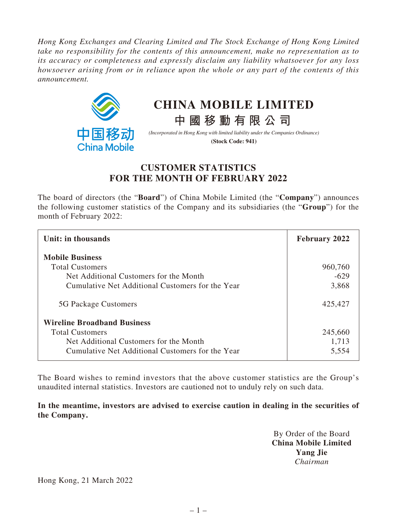*Hong Kong Exchanges and Clearing Limited and The Stock Exchange of Hong Kong Limited take no responsibility for the contents of this announcement, make no representation as to its accuracy or completeness and expressly disclaim any liability whatsoever for any loss howsoever arising from or in reliance upon the whole or any part of the contents of this announcement.*



## **CHINA MOBILE LIMITED**

**中國移動有限公司**

*(Incorporated in Hong Kong with limited liability under the Companies Ordinance)* **(Stock Code: 941)**

## **CUSTOMER STATISTICS FOR THE MONTH OF FEBRUARY 2022**

The board of directors (the "**Board**") of China Mobile Limited (the "**Company**") announces the following customer statistics of the Company and its subsidiaries (the "**Group**") for the month of February 2022:

| Unit: in thousands                               | <b>February 2022</b> |
|--------------------------------------------------|----------------------|
| <b>Mobile Business</b>                           |                      |
| <b>Total Customers</b>                           | 960,760              |
| Net Additional Customers for the Month           | $-629$               |
| Cumulative Net Additional Customers for the Year | 3,868                |
| 5G Package Customers                             | 425,427              |
| <b>Wireline Broadband Business</b>               |                      |
| <b>Total Customers</b>                           | 245,660              |
| Net Additional Customers for the Month           | 1,713                |
| Cumulative Net Additional Customers for the Year | 5,554                |

The Board wishes to remind investors that the above customer statistics are the Group's unaudited internal statistics. Investors are cautioned not to unduly rely on such data.

**In the meantime, investors are advised to exercise caution in dealing in the securities of the Company.**

> By Order of the Board **China Mobile Limited Yang Jie** *Chairman*

Hong Kong, 21 March 2022